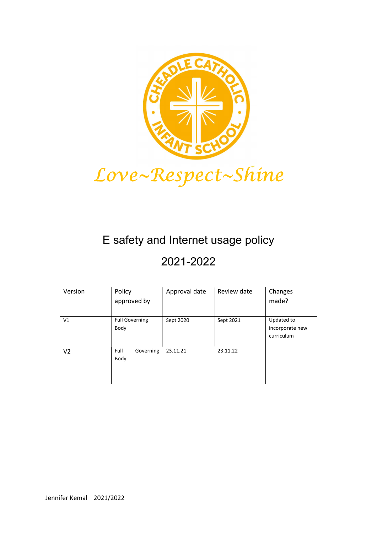

# E safety and Internet usage policy

## 2021-2022

| Version        | Policy                        | Approval date | Review date | Changes                                     |
|----------------|-------------------------------|---------------|-------------|---------------------------------------------|
|                | approved by                   |               |             | made?                                       |
|                |                               |               |             |                                             |
| V <sub>1</sub> | <b>Full Governing</b><br>Body | Sept 2020     | Sept 2021   | Updated to<br>incorporate new<br>curriculum |
| V <sub>2</sub> | Full<br>Governing<br>Body     | 23.11.21      | 23.11.22    |                                             |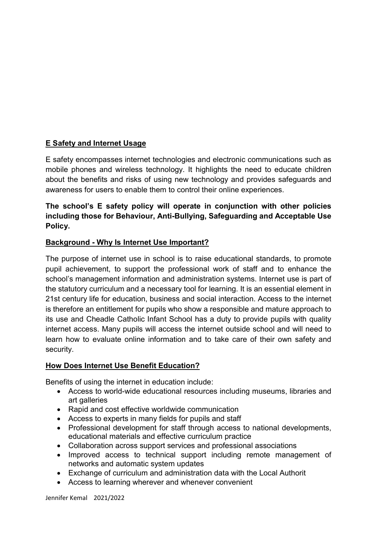## E Safety and Internet Usage

E safety encompasses internet technologies and electronic communications such as mobile phones and wireless technology. It highlights the need to educate children about the benefits and risks of using new technology and provides safeguards and awareness for users to enable them to control their online experiences.

#### The school's E safety policy will operate in conjunction with other policies including those for Behaviour, Anti-Bullying, Safeguarding and Acceptable Use Policy.

#### Background - Why Is Internet Use Important?

The purpose of internet use in school is to raise educational standards, to promote pupil achievement, to support the professional work of staff and to enhance the school's management information and administration systems. Internet use is part of the statutory curriculum and a necessary tool for learning. It is an essential element in 21st century life for education, business and social interaction. Access to the internet is therefore an entitlement for pupils who show a responsible and mature approach to its use and Cheadle Catholic Infant School has a duty to provide pupils with quality internet access. Many pupils will access the internet outside school and will need to learn how to evaluate online information and to take care of their own safety and security.

#### How Does Internet Use Benefit Education?

Benefits of using the internet in education include:

- Access to world-wide educational resources including museums, libraries and art galleries
- Rapid and cost effective worldwide communication
- Access to experts in many fields for pupils and staff
- Professional development for staff through access to national developments, educational materials and effective curriculum practice
- Collaboration across support services and professional associations
- Improved access to technical support including remote management of networks and automatic system updates
- Exchange of curriculum and administration data with the Local Authorit
- Access to learning wherever and whenever convenient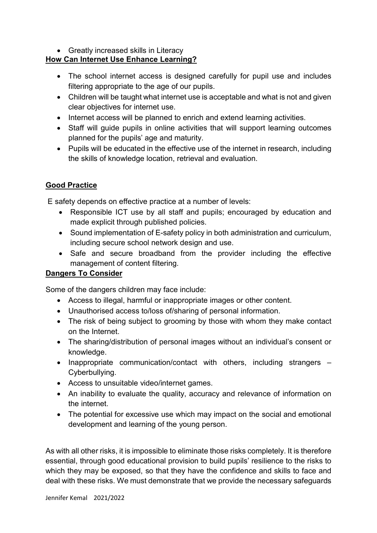• Greatly increased skills in Literacy

## How Can Internet Use Enhance Learning?

- The school internet access is designed carefully for pupil use and includes filtering appropriate to the age of our pupils.
- Children will be taught what internet use is acceptable and what is not and given clear objectives for internet use.
- Internet access will be planned to enrich and extend learning activities.
- Staff will guide pupils in online activities that will support learning outcomes planned for the pupils' age and maturity.
- Pupils will be educated in the effective use of the internet in research, including the skills of knowledge location, retrieval and evaluation.

## Good Practice

E safety depends on effective practice at a number of levels:

- Responsible ICT use by all staff and pupils; encouraged by education and made explicit through published policies.
- Sound implementation of E-safety policy in both administration and curriculum, including secure school network design and use.
- Safe and secure broadband from the provider including the effective management of content filtering.

## Dangers To Consider

Some of the dangers children may face include:

- Access to illegal, harmful or inappropriate images or other content.
- Unauthorised access to/loss of/sharing of personal information.
- The risk of being subject to grooming by those with whom they make contact on the Internet.
- The sharing/distribution of personal images without an individual's consent or knowledge.
- Inappropriate communication/contact with others, including strangers Cyberbullying.
- Access to unsuitable video/internet games.
- An inability to evaluate the quality, accuracy and relevance of information on the internet.
- The potential for excessive use which may impact on the social and emotional development and learning of the young person.

As with all other risks, it is impossible to eliminate those risks completely. It is therefore essential, through good educational provision to build pupils' resilience to the risks to which they may be exposed, so that they have the confidence and skills to face and deal with these risks. We must demonstrate that we provide the necessary safeguards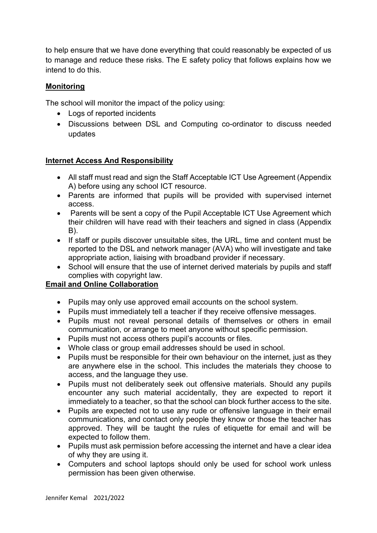to help ensure that we have done everything that could reasonably be expected of us to manage and reduce these risks. The E safety policy that follows explains how we intend to do this.

#### Monitoring

The school will monitor the impact of the policy using:

- Logs of reported incidents
- Discussions between DSL and Computing co-ordinator to discuss needed updates

#### Internet Access And Responsibility

- All staff must read and sign the Staff Acceptable ICT Use Agreement (Appendix A) before using any school ICT resource.
- Parents are informed that pupils will be provided with supervised internet access.
- Parents will be sent a copy of the Pupil Acceptable ICT Use Agreement which their children will have read with their teachers and signed in class (Appendix B).
- If staff or pupils discover unsuitable sites, the URL, time and content must be reported to the DSL and network manager (AVA) who will investigate and take appropriate action, liaising with broadband provider if necessary.
- School will ensure that the use of internet derived materials by pupils and staff complies with copyright law.

#### Email and Online Collaboration

- Pupils may only use approved email accounts on the school system.
- Pupils must immediately tell a teacher if they receive offensive messages.
- Pupils must not reveal personal details of themselves or others in email communication, or arrange to meet anyone without specific permission.
- Pupils must not access others pupil's accounts or files.
- Whole class or group email addresses should be used in school.
- Pupils must be responsible for their own behaviour on the internet, just as they are anywhere else in the school. This includes the materials they choose to access, and the language they use.
- Pupils must not deliberately seek out offensive materials. Should any pupils encounter any such material accidentally, they are expected to report it immediately to a teacher, so that the school can block further access to the site.
- Pupils are expected not to use any rude or offensive language in their email communications, and contact only people they know or those the teacher has approved. They will be taught the rules of etiquette for email and will be expected to follow them.
- Pupils must ask permission before accessing the internet and have a clear idea of why they are using it.
- Computers and school laptops should only be used for school work unless permission has been given otherwise.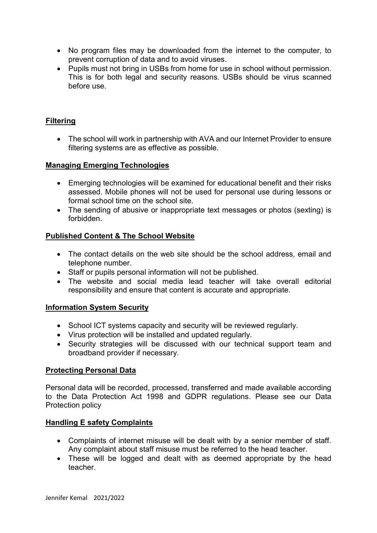- No program files may be downloaded from the internet to the computer, to prevent corruption of data and to avoid viruses.
- Pupils must not bring in USBs from home for use in school without permission. This is for both legal and security reasons. USBs should be virus scanned before use.

#### **Filtering**

 The school will work in partnership with AVA and our Internet Provider to ensure filtering systems are as effective as possible.

#### Managing Emerging Technologies

- Emerging technologies will be examined for educational benefit and their risks assessed. Mobile phones will not be used for personal use during lessons or formal school time on the school site.
- The sending of abusive or inappropriate text messages or photos (sexting) is forbidden.

#### Published Content & The School Website

- The contact details on the web site should be the school address, email and telephone number.
- Staff or pupils personal information will not be published.
- The website and social media lead teacher will take overall editorial responsibility and ensure that content is accurate and appropriate.

#### Information System Security

- School ICT systems capacity and security will be reviewed regularly.
- Virus protection will be installed and updated regularly.
- Security strategies will be discussed with our technical support team and broadband provider if necessary.

#### Protecting Personal Data

Personal data will be recorded, processed, transferred and made available according to the Data Protection Act 1998 and GDPR regulations. Please see our Data Protection policy

#### Handling E safety Complaints

- Complaints of internet misuse will be dealt with by a senior member of staff. Any complaint about staff misuse must be referred to the head teacher.
- These will be logged and dealt with as deemed appropriate by the head teacher.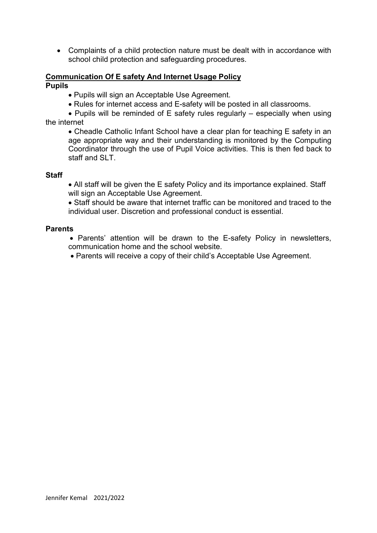Complaints of a child protection nature must be dealt with in accordance with school child protection and safeguarding procedures.

#### Communication Of E safety And Internet Usage Policy

Pupils

- Pupils will sign an Acceptable Use Agreement.
- Rules for internet access and E-safety will be posted in all classrooms.

• Pupils will be reminded of E safety rules regularly – especially when using the internet

 Cheadle Catholic Infant School have a clear plan for teaching E safety in an age appropriate way and their understanding is monitored by the Computing Coordinator through the use of Pupil Voice activities. This is then fed back to staff and SLT.

#### **Staff**

 All staff will be given the E safety Policy and its importance explained. Staff will sign an Acceptable Use Agreement.

 Staff should be aware that internet traffic can be monitored and traced to the individual user. Discretion and professional conduct is essential.

#### **Parents**

• Parents' attention will be drawn to the E-safety Policy in newsletters, communication home and the school website.

Parents will receive a copy of their child's Acceptable Use Agreement.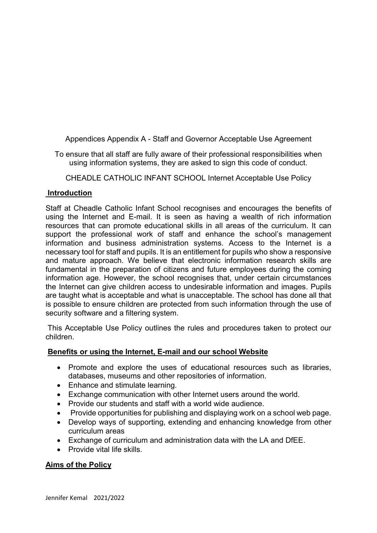Appendices Appendix A - Staff and Governor Acceptable Use Agreement

To ensure that all staff are fully aware of their professional responsibilities when using information systems, they are asked to sign this code of conduct.

CHEADLE CATHOLIC INFANT SCHOOL Internet Acceptable Use Policy

#### Introduction

Staff at Cheadle Catholic Infant School recognises and encourages the benefits of using the Internet and E-mail. It is seen as having a wealth of rich information resources that can promote educational skills in all areas of the curriculum. It can support the professional work of staff and enhance the school's management information and business administration systems. Access to the Internet is a necessary tool for staff and pupils. It is an entitlement for pupils who show a responsive and mature approach. We believe that electronic information research skills are fundamental in the preparation of citizens and future employees during the coming information age. However, the school recognises that, under certain circumstances the Internet can give children access to undesirable information and images. Pupils are taught what is acceptable and what is unacceptable. The school has done all that is possible to ensure children are protected from such information through the use of security software and a filtering system.

 This Acceptable Use Policy outlines the rules and procedures taken to protect our children.

#### Benefits or using the Internet, E-mail and our school Website

- Promote and explore the uses of educational resources such as libraries, databases, museums and other repositories of information.
- Enhance and stimulate learning.
- Exchange communication with other Internet users around the world.
- Provide our students and staff with a world wide audience.
- Provide opportunities for publishing and displaying work on a school web page.
- Develop ways of supporting, extending and enhancing knowledge from other curriculum areas
- Exchange of curriculum and administration data with the LA and DfEE.
- Provide vital life skills.

## Aims of the Policy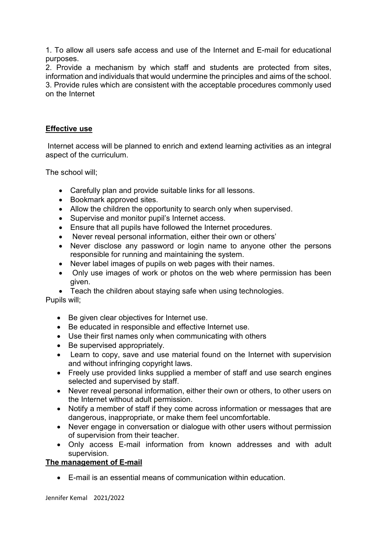1. To allow all users safe access and use of the Internet and E-mail for educational purposes.

2. Provide a mechanism by which staff and students are protected from sites, information and individuals that would undermine the principles and aims of the school. 3. Provide rules which are consistent with the acceptable procedures commonly used on the Internet

#### Effective use

 Internet access will be planned to enrich and extend learning activities as an integral aspect of the curriculum.

The school will;

- Carefully plan and provide suitable links for all lessons.
- Bookmark approved sites.
- Allow the children the opportunity to search only when supervised.
- Supervise and monitor pupil's Internet access.
- Ensure that all pupils have followed the Internet procedures.
- Never reveal personal information, either their own or others'
- Never disclose any password or login name to anyone other the persons responsible for running and maintaining the system.
- Never label images of pupils on web pages with their names.
- Only use images of work or photos on the web where permission has been given.
- Teach the children about staying safe when using technologies.

Pupils will;

- Be given clear objectives for Internet use.
- Be educated in responsible and effective Internet use.
- Use their first names only when communicating with others
- Be supervised appropriately.
- Learn to copy, save and use material found on the Internet with supervision and without infringing copyright laws.
- Freely use provided links supplied a member of staff and use search engines selected and supervised by staff.
- Never reveal personal information, either their own or others, to other users on the Internet without adult permission.
- Notify a member of staff if they come across information or messages that are dangerous, inappropriate, or make them feel uncomfortable.
- Never engage in conversation or dialogue with other users without permission of supervision from their teacher.
- Only access E-mail information from known addresses and with adult supervision.

#### The management of E-mail

E-mail is an essential means of communication within education.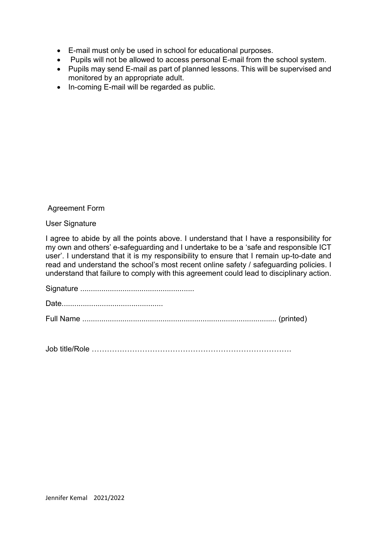- E-mail must only be used in school for educational purposes.
- Pupils will not be allowed to access personal E-mail from the school system.
- Pupils may send E-mail as part of planned lessons. This will be supervised and monitored by an appropriate adult.
- In-coming E-mail will be regarded as public.

#### Agreement Form

#### User Signature

I agree to abide by all the points above. I understand that I have a responsibility for my own and others' e-safeguarding and I undertake to be a 'safe and responsible ICT user'. I understand that it is my responsibility to ensure that I remain up-to-date and read and understand the school's most recent online safety / safeguarding policies. I understand that failure to comply with this agreement could lead to disciplinary action.

Signature ...................................................... Date................................................ Full Name ............................................................................................ (printed)

Job title/Role …………………………………………………………………….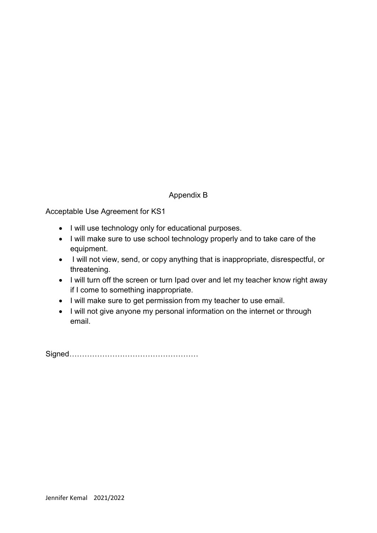#### Appendix B

Acceptable Use Agreement for KS1

- I will use technology only for educational purposes.
- I will make sure to use school technology properly and to take care of the equipment.
- I will not view, send, or copy anything that is inappropriate, disrespectful, or threatening.
- I will turn off the screen or turn Ipad over and let my teacher know right away if I come to something inappropriate.
- I will make sure to get permission from my teacher to use email.
- I will not give anyone my personal information on the internet or through email.

Signed……………………………………………